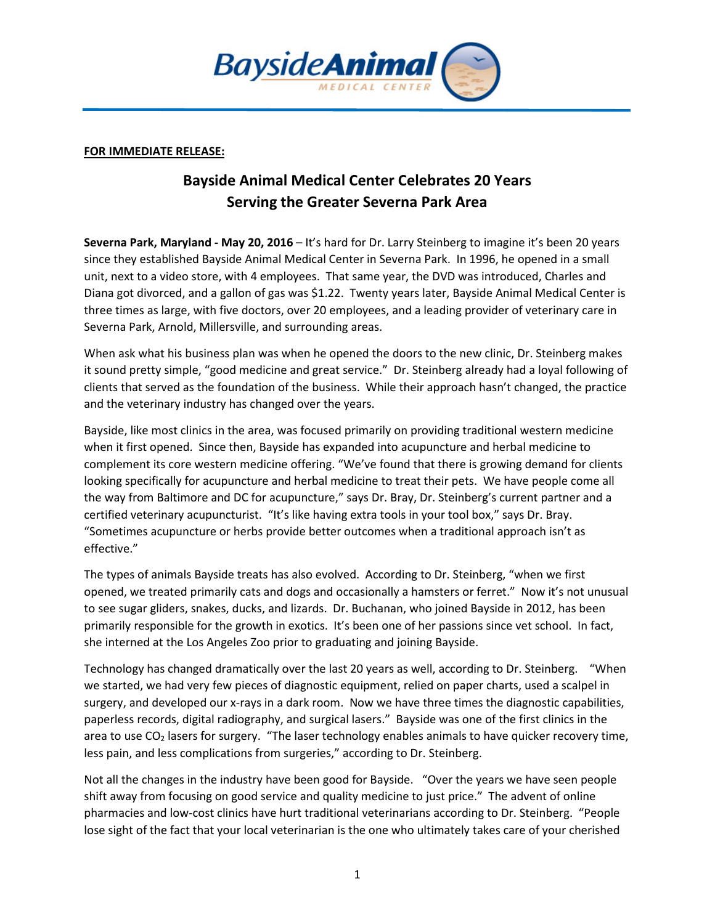

## FOR IMMEDIATE RELEASE:

## Bayside Animal Medical Center Celebrates 20 Years Serving the Greater Severna Park Area

Severna Park, Maryland - May 20, 2016 - It's hard for Dr. Larry Steinberg to imagine it's been 20 years since they established Bayside Animal Medical Center in Severna Park. In 1996, he opened in a small unit, next to a video store, with 4 employees. That same year, the DVD was introduced, Charles and Diana got divorced, and a gallon of gas was \$1.22. Twenty years later, Bayside Animal Medical Center is three times as large, with five doctors, over 20 employees, and a leading provider of veterinary care in Severna Park, Arnold, Millersville, and surrounding areas.

When ask what his business plan was when he opened the doors to the new clinic, Dr. Steinberg makes it sound pretty simple, "good medicine and great service." Dr. Steinberg already had a loyal following of clients that served as the foundation of the business. While their approach hasn't changed, the practice and the veterinary industry has changed over the years.

Bayside, like most clinics in the area, was focused primarily on providing traditional western medicine when it first opened. Since then, Bayside has expanded into acupuncture and herbal medicine to complement its core western medicine offering. "We've found that there is growing demand for clients looking specifically for acupuncture and herbal medicine to treat their pets. We have people come all the way from Baltimore and DC for acupuncture," says Dr. Bray, Dr. Steinberg's current partner and a certified veterinary acupuncturist. "It's like having extra tools in your tool box," says Dr. Bray. "Sometimes acupuncture or herbs provide better outcomes when a traditional approach isn't as effective."

The types of animals Bayside treats has also evolved. According to Dr. Steinberg, "when we first opened, we treated primarily cats and dogs and occasionally a hamsters or ferret." Now it's not unusual to see sugar gliders, snakes, ducks, and lizards. Dr. Buchanan, who joined Bayside in 2012, has been primarily responsible for the growth in exotics. It's been one of her passions since vet school. In fact, she interned at the Los Angeles Zoo prior to graduating and joining Bayside.

Technology has changed dramatically over the last 20 years as well, according to Dr. Steinberg. "When we started, we had very few pieces of diagnostic equipment, relied on paper charts, used a scalpel in surgery, and developed our x-rays in a dark room. Now we have three times the diagnostic capabilities, paperless records, digital radiography, and surgical lasers." Bayside was one of the first clinics in the area to use  $CO<sub>2</sub>$  lasers for surgery. "The laser technology enables animals to have quicker recovery time, less pain, and less complications from surgeries," according to Dr. Steinberg.

Not all the changes in the industry have been good for Bayside. "Over the years we have seen people shift away from focusing on good service and quality medicine to just price." The advent of online pharmacies and low-cost clinics have hurt traditional veterinarians according to Dr. Steinberg. "People lose sight of the fact that your local veterinarian is the one who ultimately takes care of your cherished